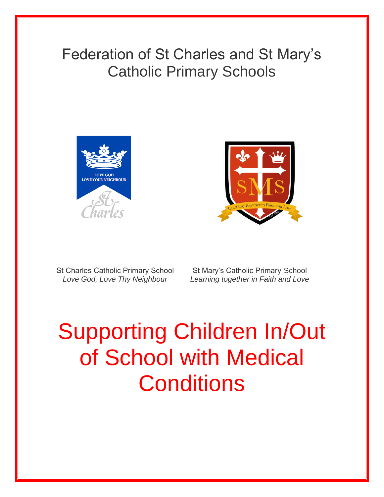## Federation of St Charles and St Mary's Catholic Primary Schools





St Charles Catholic Primary School St Mary's Catholic Primary School

 *Love God, Love Thy Neighbour Learning together in Faith and Love*

# Supporting Children In/Out of School with Medical **Conditions**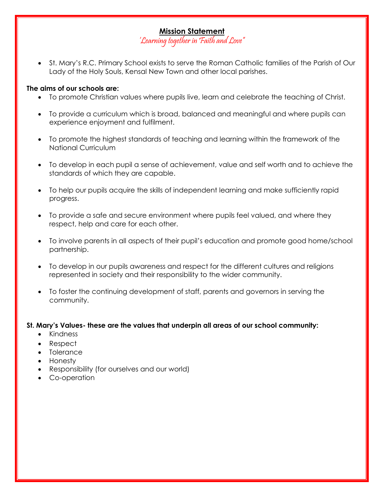#### **Mission Statement**

'Learning together in Faith and Love"

• St. Mary's R.C. Primary School exists to serve the Roman Catholic families of the Parish of Our Lady of the Holy Souls, Kensal New Town and other local parishes.

#### **The aims of our schools are:**

- To promote Christian values where pupils live, learn and celebrate the teaching of Christ.
- To provide a curriculum which is broad, balanced and meaningful and where pupils can experience enjoyment and fulfilment.
- To promote the highest standards of teaching and learning within the framework of the National Curriculum
- To develop in each pupil a sense of achievement, value and self worth and to achieve the standards of which they are capable.
- To help our pupils acquire the skills of independent learning and make sufficiently rapid progress.
- To provide a safe and secure environment where pupils feel valued, and where they respect, help and care for each other.
- To involve parents in all aspects of their pupil's education and promote good home/school partnership.
- To develop in our pupils awareness and respect for the different cultures and religions represented in society and their responsibility to the wider community.
- To foster the continuing development of staff, parents and governors in serving the community.

#### **St. Mary's Values- these are the values that underpin all areas of our school community:**

- Kindness
- Respect
- Tolerance
- Honesty
- Responsibility (for ourselves and our world)
- Co-operation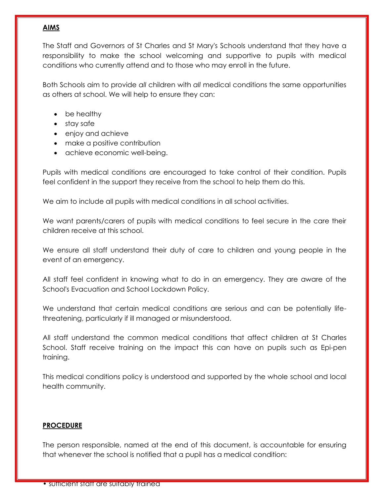#### **AIMS**

The Staff and Governors of St Charles and St Mary's Schools understand that they have a responsibility to make the school welcoming and supportive to pupils with medical conditions who currently attend and to those who may enroll in the future.

Both Schools aim to provide *all* children with *all* medical conditions the same opportunities as others at school. We will help to ensure they can:

- be healthy
- stay safe
- enjoy and achieve
- make a positive contribution
- achieve economic well-being.

Pupils with medical conditions are encouraged to take control of their condition. Pupils feel confident in the support they receive from the school to help them do this.

We aim to include all pupils with medical conditions in all school activities.

We want parents/carers of pupils with medical conditions to feel secure in the care their children receive at this school.

We ensure all staff understand their duty of care to children and young people in the event of an emergency.

All staff feel confident in knowing what to do in an emergency. They are aware of the School's Evacuation and School Lockdown Policy.

We understand that certain medical conditions are serious and can be potentially lifethreatening, particularly if ill managed or misunderstood.

All staff understand the common medical conditions that affect children at St Charles School. Staff receive training on the impact this can have on pupils such as Epi-pen training.

This medical conditions policy is understood and supported by the whole school and local health community.

#### **PROCEDURE**

The person responsible, named at the end of this document, is accountable for ensuring that whenever the school is notified that a pupil has a medical condition: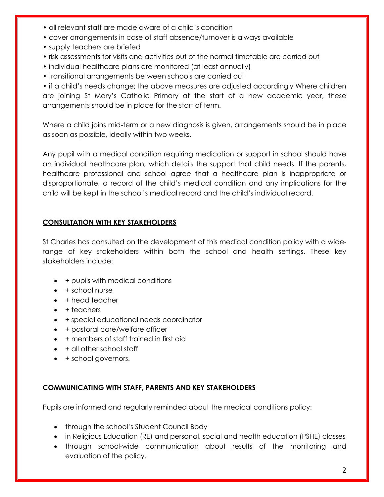- all relevant staff are made aware of a child's condition
- cover arrangements in case of staff absence/turnover is always available
- supply teachers are briefed
- risk assessments for visits and activities out of the normal timetable are carried out
- individual healthcare plans are monitored (at least annually)
- transitional arrangements between schools are carried out

• if a child's needs change; the above measures are adjusted accordingly Where children are joining St Mary's Catholic Primary at the start of a new academic year, these arrangements should be in place for the start of term.

Where a child joins mid-term or a new diagnosis is given, arrangements should be in place as soon as possible, ideally within two weeks.

Any pupil with a medical condition requiring medication or support in school should have an individual healthcare plan, which details the support that child needs. If the parents, healthcare professional and school agree that a healthcare plan is inappropriate or disproportionate, a record of the child's medical condition and any implications for the child will be kept in the school's medical record and the child's individual record.

#### **CONSULTATION WITH KEY STAKEHOLDERS**

St Charles has consulted on the development of this medical condition policy with a widerange of key stakeholders within both the school and health settings. These key stakeholders include:

- + pupils with medical conditions
- $+$  school nurse
- + head teacher
- $\bullet$  + teachers
- + special educational needs coordinator
- + pastoral care/welfare officer
- + members of staff trained in first aid
- + all other school staff
- + school governors.

#### **COMMUNICATING WITH STAFF, PARENTS AND KEY STAKEHOLDERS**

Pupils are informed and regularly reminded about the medical conditions policy:

- through the school's Student Council Body
- in Religious Education (RE) and personal, social and health education (PSHE) classes
- through school-wide communication about results of the monitoring and evaluation of the policy.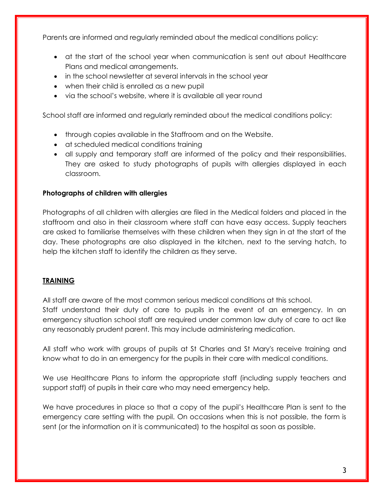Parents are informed and regularly reminded about the medical conditions policy:

- at the start of the school year when communication is sent out about Healthcare Plans and medical arrangements.
- in the school newsletter at several intervals in the school year
- when their child is enrolled as a new pupil
- via the school's website, where it is available all year round

School staff are informed and regularly reminded about the medical conditions policy:

- through copies available in the Staffroom and on the Website.
- at scheduled medical conditions training
- all supply and temporary staff are informed of the policy and their responsibilities. They are asked to study photographs of pupils with allergies displayed in each classroom.

#### **Photographs of children with allergies**

Photographs of all children with allergies are filed in the Medical folders and placed in the staffroom and also in their classroom where staff can have easy access. Supply teachers are asked to familiarise themselves with these children when they sign in at the start of the day. These photographs are also displayed in the kitchen, next to the serving hatch, to help the kitchen staff to identify the children as they serve.

#### **TRAINING**

All staff are aware of the most common serious medical conditions at this school. Staff understand their duty of care to pupils in the event of an emergency. In an emergency situation school staff are required under common law duty of care to act like any reasonably prudent parent. This may include administering medication.

All staff who work with groups of pupils at St Charles and St Mary's receive training and know what to do in an emergency for the pupils in their care with medical conditions.

We use Healthcare Plans to inform the appropriate staff (including supply teachers and support staff) of pupils in their care who may need emergency help.

We have procedures in place so that a copy of the pupil's Healthcare Plan is sent to the emergency care setting with the pupil. On occasions when this is not possible, the form is sent (or the information on it is communicated) to the hospital as soon as possible.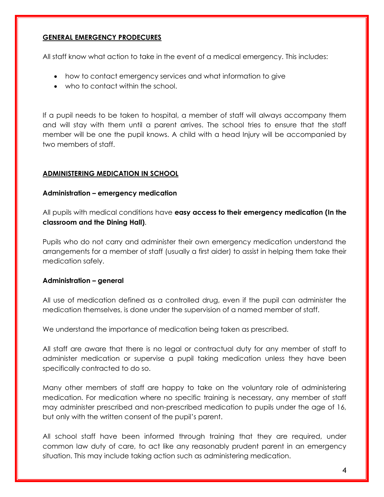#### **GENERAL EMERGENCY PRODECURES**

All staff know what action to take in the event of a medical emergency. This includes:

- how to contact emergency services and what information to give
- who to contact within the school.

If a pupil needs to be taken to hospital, a member of staff will always accompany them and will stay with them until a parent arrives. The school tries to ensure that the staff member will be one the pupil knows. A child with a head Injury will be accompanied by two members of staff.

#### **ADMINISTERING MEDICATION IN SCHOOL**

#### **Administration – emergency medication**

All pupils with medical conditions have **easy access to their emergency medication (In the classroom and the Dining Hall)**.

Pupils who do not carry and administer their own emergency medication understand the arrangements for a member of staff (usually a first aider) to assist in helping them take their medication safely.

#### **Administration – general**

All use of medication defined as a controlled drug, even if the pupil can administer the medication themselves, is done under the supervision of a named member of staff.

We understand the importance of medication being taken as prescribed.

All staff are aware that there is no legal or contractual duty for any member of staff to administer medication or supervise a pupil taking medication unless they have been specifically contracted to do so.

Many other members of staff are happy to take on the voluntary role of administering medication. For medication where no specific training is necessary, any member of staff may administer prescribed and non-prescribed medication to pupils under the age of 16, but only with the written consent of the pupil's parent.

All school staff have been informed through training that they are required, under common law duty of care, to act like any reasonably prudent parent in an emergency situation. This may include taking action such as administering medication.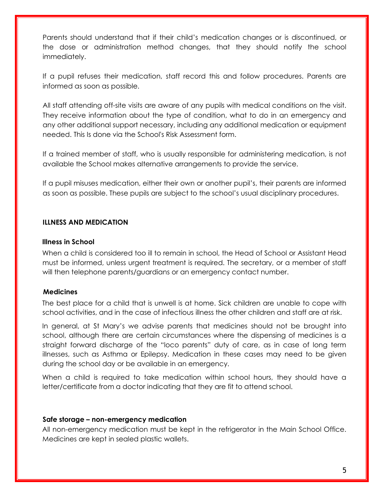Parents should understand that if their child's medication changes or is discontinued, or the dose or administration method changes, that they should notify the school immediately.

If a pupil refuses their medication, staff record this and follow procedures. Parents are informed as soon as possible.

All staff attending off-site visits are aware of any pupils with medical conditions on the visit. They receive information about the type of condition, what to do in an emergency and any other additional support necessary, including any additional medication or equipment needed. This Is done via the School's Risk Assessment form.

If a trained member of staff, who is usually responsible for administering medication, is not available the School makes alternative arrangements to provide the service.

If a pupil misuses medication, either their own or another pupil's, their parents are informed as soon as possible. These pupils are subject to the school's usual disciplinary procedures.

#### **ILLNESS AND MEDICATION**

#### **Illness in School**

When a child is considered too ill to remain in school, the Head of School or Assistant Head must be informed, unless urgent treatment is required. The secretary, or a member of staff will then telephone parents/guardians or an emergency contact number.

#### **Medicines**

The best place for a child that is unwell is at home. Sick children are unable to cope with school activities, and in the case of infectious illness the other children and staff are at risk.

In general, at St Mary's we advise parents that medicines should not be brought into school, although there are certain circumstances where the dispensing of medicines is a straight forward discharge of the "loco parents" duty of care, as in case of long term illnesses, such as Asthma or Epilepsy. Medication in these cases may need to be given during the school day or be available in an emergency.

When a child is required to take medication within school hours, they should have a letter/certificate from a doctor indicating that they are fit to attend school.

#### **Safe storage – non-emergency medication**

All non-emergency medication must be kept in the refrigerator in the Main School Office. Medicines are kept in sealed plastic wallets.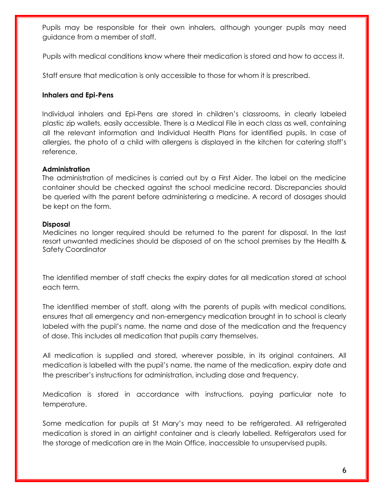Pupils may be responsible for their own inhalers, although younger pupils may need guidance from a member of staff.

Pupils with medical conditions know where their medication is stored and how to access it.

Staff ensure that medication is only accessible to those for whom it is prescribed.

#### **Inhalers and Epi-Pens**

Individual inhalers and Epi-Pens are stored in children's classrooms, in clearly labeled plastic zip wallets, easily accessible. There is a Medical File in each class as well, containing all the relevant information and Individual Health Plans for identified pupils. In case of allergies, the photo of a child with allergens is displayed in the kitchen for catering staff's reference.

#### **Administration**

The administration of medicines is carried out by a First Aider. The label on the medicine container should be checked against the school medicine record. Discrepancies should be queried with the parent before administering a medicine. A record of dosages should be kept on the form.

#### **Disposal**

Medicines no longer required should be returned to the parent for disposal. In the last resort unwanted medicines should be disposed of on the school premises by the Health & Safety Coordinator

The identified member of staff checks the expiry dates for all medication stored at school each term.

The identified member of staff, along with the parents of pupils with medical conditions, ensures that all emergency and non-emergency medication brought in to school is clearly labeled with the pupil's name, the name and dose of the medication and the frequency of dose. This includes all medication that pupils carry themselves.

All medication is supplied and stored, wherever possible, in its original containers. All medication is labelled with the pupil's name, the name of the medication, expiry date and the prescriber's instructions for administration, including dose and frequency.

Medication is stored in accordance with instructions, paying particular note to temperature.

Some medication for pupils at St Mary's may need to be refrigerated. All refrigerated medication is stored in an airtight container and is clearly labelled. Refrigerators used for the storage of medication are in the Main Office, inaccessible to unsupervised pupils.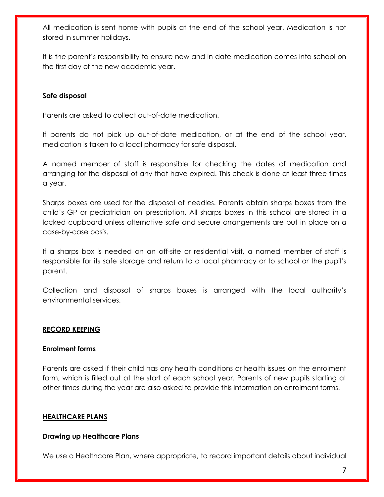All medication is sent home with pupils at the end of the school year. Medication is not stored in summer holidays.

It is the parent's responsibility to ensure new and in date medication comes into school on the first day of the new academic year.

#### **Safe disposal**

Parents are asked to collect out-of-date medication.

If parents do not pick up out-of-date medication, or at the end of the school year, medication is taken to a local pharmacy for safe disposal.

A named member of staff is responsible for checking the dates of medication and arranging for the disposal of any that have expired. This check is done at least three times a year.

Sharps boxes are used for the disposal of needles. Parents obtain sharps boxes from the child's GP or pediatrician on prescription. All sharps boxes in this school are stored in a locked cupboard unless alternative safe and secure arrangements are put in place on a case-by-case basis.

If a sharps box is needed on an off-site or residential visit, a named member of staff is responsible for its safe storage and return to a local pharmacy or to school or the pupil's parent.

Collection and disposal of sharps boxes is arranged with the local authority's environmental services.

#### **RECORD KEEPING**

#### **Enrolment forms**

Parents are asked if their child has any health conditions or health issues on the enrolment form, which is filled out at the start of each school year. Parents of new pupils starting at other times during the year are also asked to provide this information on enrolment forms.

#### **HEALTHCARE PLANS**

#### **Drawing up Healthcare Plans**

We use a Healthcare Plan, where appropriate, to record important details about individual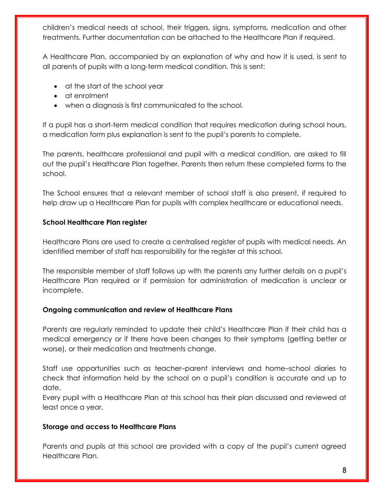children's medical needs at school, their triggers, signs, symptoms, medication and other treatments. Further documentation can be attached to the Healthcare Plan if required.

A Healthcare Plan, accompanied by an explanation of why and how it is used, is sent to all parents of pupils with a long-term medical condition. This is sent:

- at the start of the school year
- at enrolment
- when a diagnosis is first communicated to the school.

If a pupil has a short-term medical condition that requires medication during school hours, a medication form plus explanation is sent to the pupil's parents to complete.

The parents, healthcare professional and pupil with a medical condition, are asked to fill out the pupil's Healthcare Plan together. Parents then return these completed forms to the school.

The School ensures that a relevant member of school staff is also present, if required to help draw up a Healthcare Plan for pupils with complex healthcare or educational needs.

#### **School Healthcare Plan register**

Healthcare Plans are used to create a centralised register of pupils with medical needs. An identified member of staff has responsibility for the register at this school.

The responsible member of staff follows up with the parents any further details on a pupil's Healthcare Plan required or if permission for administration of medication is unclear or incomplete.

#### **Ongoing communication and review of Healthcare Plans**

Parents are regularly reminded to update their child's Healthcare Plan if their child has a medical emergency or if there have been changes to their symptoms (getting better or worse), or their medication and treatments change.

Staff use opportunities such as teacher–parent interviews and home–school diaries to check that information held by the school on a pupil's condition is accurate and up to date.

Every pupil with a Healthcare Plan at this school has their plan discussed and reviewed at least once a year.

#### **Storage and access to Healthcare Plans**

Parents and pupils at this school are provided with a copy of the pupil's current agreed Healthcare Plan.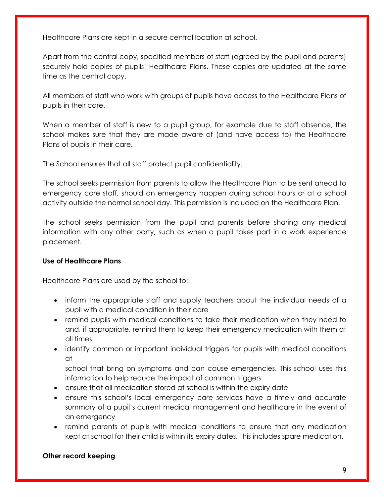Healthcare Plans are kept in a secure central location at school.

Apart from the central copy, specified members of staff (agreed by the pupil and parents) securely hold copies of pupils' Healthcare Plans. These copies are updated at the same time as the central copy.

All members of staff who work with groups of pupils have access to the Healthcare Plans of pupils in their care.

When a member of staff is new to a pupil group, for example due to staff absence, the school makes sure that they are made aware of (and have access to) the Healthcare Plans of pupils in their care.

The School ensures that all staff protect pupil confidentiality.

The school seeks permission from parents to allow the Healthcare Plan to be sent ahead to emergency care staff, should an emergency happen during school hours or at a school activity outside the normal school day. This permission is included on the Healthcare Plan.

The school seeks permission from the pupil and parents before sharing any medical information with any other party, such as when a pupil takes part in a work experience placement.

#### **Use of Healthcare Plans**

Healthcare Plans are used by the school to:

- inform the appropriate staff and supply teachers about the individual needs of a pupil with a medical condition in their care
- remind pupils with medical conditions to take their medication when they need to and, if appropriate, remind them to keep their emergency medication with them at all times
- identify common or important individual triggers for pupils with medical conditions at

school that bring on symptoms and can cause emergencies. This school uses this information to help reduce the impact of common triggers

- ensure that all medication stored at school is within the expiry date
- ensure this school's local emergency care services have a timely and accurate summary of a pupil's current medical management and healthcare in the event of an emergency
- remind parents of pupils with medical conditions to ensure that any medication kept at school for their child is within its expiry dates. This includes spare medication.

#### **Other record keeping**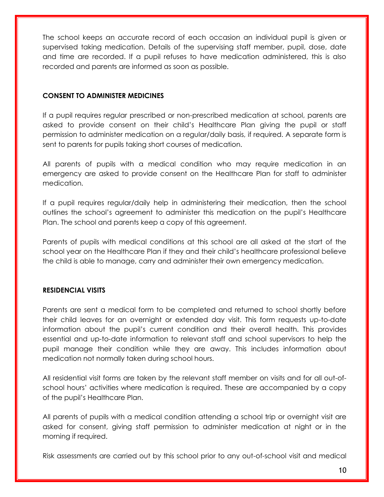The school keeps an accurate record of each occasion an individual pupil is given or supervised taking medication. Details of the supervising staff member, pupil, dose, date and time are recorded. If a pupil refuses to have medication administered, this is also recorded and parents are informed as soon as possible.

#### **CONSENT TO ADMINISTER MEDICINES**

If a pupil requires regular prescribed or non-prescribed medication at school, parents are asked to provide consent on their child's Healthcare Plan giving the pupil or staff permission to administer medication on a regular/daily basis, if required. A separate form is sent to parents for pupils taking short courses of medication.

All parents of pupils with a medical condition who may require medication in an emergency are asked to provide consent on the Healthcare Plan for staff to administer medication.

If a pupil requires regular/daily help in administering their medication, then the school outlines the school's agreement to administer this medication on the pupil's Healthcare Plan. The school and parents keep a copy of this agreement.

Parents of pupils with medical conditions at this school are all asked at the start of the school year on the Healthcare Plan if they and their child's healthcare professional believe the child is able to manage, carry and administer their own emergency medication.

#### **RESIDENCIAL VISITS**

Parents are sent a medical form to be completed and returned to school shortly before their child leaves for an overnight or extended day visit. This form requests up-to-date information about the pupil's current condition and their overall health. This provides essential and up-to-date information to relevant staff and school supervisors to help the pupil manage their condition while they are away. This includes information about medication not normally taken during school hours.

All residential visit forms are taken by the relevant staff member on visits and for all out-ofschool hours' activities where medication is required. These are accompanied by a copy of the pupil's Healthcare Plan.

All parents of pupils with a medical condition attending a school trip or overnight visit are asked for consent, giving staff permission to administer medication at night or in the morning if required.

Risk assessments are carried out by this school prior to any out-of-school visit and medical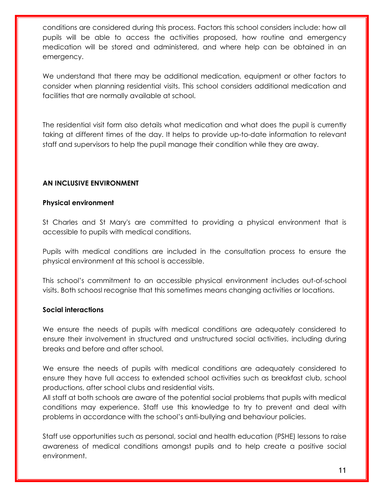conditions are considered during this process. Factors this school considers include: how all pupils will be able to access the activities proposed, how routine and emergency medication will be stored and administered, and where help can be obtained in an emergency.

We understand that there may be additional medication, equipment or other factors to consider when planning residential visits. This school considers additional medication and facilities that are normally available at school.

The residential visit form also details what medication and what does the pupil is currently taking at different times of the day. It helps to provide up-to-date information to relevant staff and supervisors to help the pupil manage their condition while they are away.

#### **AN INCLUSIVE ENVIRONMENT**

#### **Physical environment**

St Charles and St Mary's are committed to providing a physical environment that is accessible to pupils with medical conditions.

Pupils with medical conditions are included in the consultation process to ensure the physical environment at this school is accessible.

This school's commitment to an accessible physical environment includes out-of-school visits. Both schoosl recognise that this sometimes means changing activities or locations.

#### **Social interactions**

We ensure the needs of pupils with medical conditions are adequately considered to ensure their involvement in structured and unstructured social activities, including during breaks and before and after school.

We ensure the needs of pupils with medical conditions are adequately considered to ensure they have full access to extended school activities such as breakfast club, school productions, after school clubs and residential visits.

All staff at both schools are aware of the potential social problems that pupils with medical conditions may experience. Staff use this knowledge to try to prevent and deal with problems in accordance with the school's anti-bullying and behaviour policies.

Staff use opportunities such as personal, social and health education (PSHE) lessons to raise awareness of medical conditions amongst pupils and to help create a positive social environment.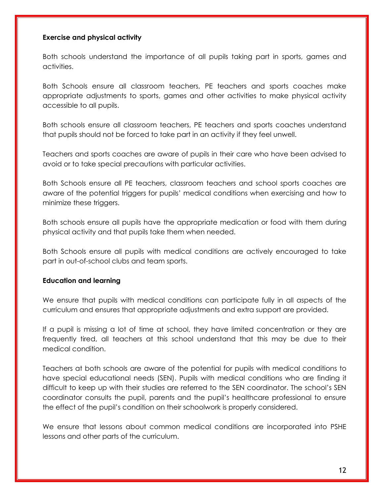#### **Exercise and physical activity**

Both schools understand the importance of all pupils taking part in sports, games and activities.

Both Schools ensure all classroom teachers, PE teachers and sports coaches make appropriate adjustments to sports, games and other activities to make physical activity accessible to all pupils.

Both schools ensure all classroom teachers, PE teachers and sports coaches understand that pupils should not be forced to take part in an activity if they feel unwell.

Teachers and sports coaches are aware of pupils in their care who have been advised to avoid or to take special precautions with particular activities.

Both Schools ensure all PE teachers, classroom teachers and school sports coaches are aware of the potential triggers for pupils' medical conditions when exercising and how to minimize these triggers.

Both schools ensure all pupils have the appropriate medication or food with them during physical activity and that pupils take them when needed.

Both Schools ensure all pupils with medical conditions are actively encouraged to take part in out-of-school clubs and team sports.

#### **Education and learning**

We ensure that pupils with medical conditions can participate fully in all aspects of the curriculum and ensures that appropriate adjustments and extra support are provided.

If a pupil is missing a lot of time at school, they have limited concentration or they are frequently tired, all teachers at this school understand that this may be due to their medical condition.

Teachers at both schools are aware of the potential for pupils with medical conditions to have special educational needs (SEN). Pupils with medical conditions who are finding it difficult to keep up with their studies are referred to the SEN coordinator. The school's SEN coordinator consults the pupil, parents and the pupil's healthcare professional to ensure the effect of the pupil's condition on their schoolwork is properly considered.

We ensure that lessons about common medical conditions are incorporated into PSHE lessons and other parts of the curriculum.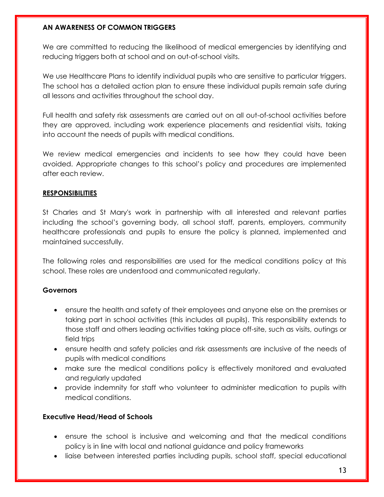#### **AN AWARENESS OF COMMON TRIGGERS**

We are committed to reducing the likelihood of medical emergencies by identifying and reducing triggers both at school and on out-of-school visits.

We use Healthcare Plans to identify individual pupils who are sensitive to particular triggers. The school has a detailed action plan to ensure these individual pupils remain safe during all lessons and activities throughout the school day.

Full health and safety risk assessments are carried out on all out-of-school activities before they are approved, including work experience placements and residential visits, taking into account the needs of pupils with medical conditions.

We review medical emergencies and incidents to see how they could have been avoided. Appropriate changes to this school's policy and procedures are implemented after each review.

#### **RESPONSIBILITIES**

St Charles and St Mary's work in partnership with all interested and relevant parties including the school's governing body, all school staff, parents, employers, community healthcare professionals and pupils to ensure the policy is planned, implemented and maintained successfully.

The following roles and responsibilities are used for the medical conditions policy at this school. These roles are understood and communicated regularly.

#### **Governors**

- ensure the health and safety of their employees and anyone else on the premises or taking part in school activities (this includes all pupils). This responsibility extends to those staff and others leading activities taking place off-site, such as visits, outings or field trips
- ensure health and safety policies and risk assessments are inclusive of the needs of pupils with medical conditions
- make sure the medical conditions policy is effectively monitored and evaluated and regularly updated
- provide indemnity for staff who volunteer to administer medication to pupils with medical conditions.

#### **Executive Head/Head of Schools**

- ensure the school is inclusive and welcoming and that the medical conditions policy is in line with local and national guidance and policy frameworks
- liaise between interested parties including pupils, school staff, special educational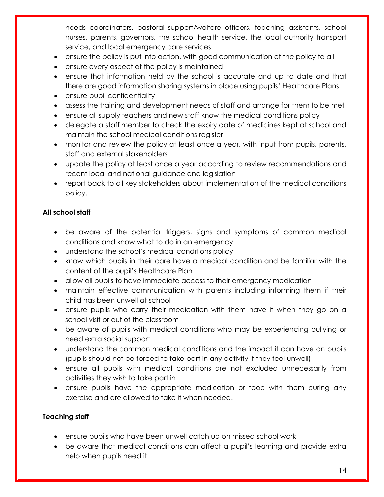needs coordinators, pastoral support/welfare officers, teaching assistants, school nurses, parents, governors, the school health service, the local authority transport service, and local emergency care services

- ensure the policy is put into action, with good communication of the policy to all
- ensure every aspect of the policy is maintained
- ensure that information held by the school is accurate and up to date and that there are good information sharing systems in place using pupils' Healthcare Plans
- ensure pupil confidentiality
- assess the training and development needs of staff and arrange for them to be met
- ensure all supply teachers and new staff know the medical conditions policy
- delegate a staff member to check the expiry date of medicines kept at school and maintain the school medical conditions register
- monitor and review the policy at least once a year, with input from pupils, parents, staff and external stakeholders
- update the policy at least once a year according to review recommendations and recent local and national guidance and legislation
- report back to all key stakeholders about implementation of the medical conditions policy.

#### **All school staff**

- be aware of the potential triggers, signs and symptoms of common medical conditions and know what to do in an emergency
- understand the school's medical conditions policy
- know which pupils in their care have a medical condition and be familiar with the content of the pupil's Healthcare Plan
- allow all pupils to have immediate access to their emergency medication
- maintain effective communication with parents including informing them if their child has been unwell at school
- ensure pupils who carry their medication with them have it when they go on a school visit or out of the classroom
- be aware of pupils with medical conditions who may be experiencing bullying or need extra social support
- understand the common medical conditions and the impact it can have on pupils (pupils should not be forced to take part in any activity if they feel unwell)
- ensure all pupils with medical conditions are not excluded unnecessarily from activities they wish to take part in
- ensure pupils have the appropriate medication or food with them during any exercise and are allowed to take it when needed.

#### **Teaching staff**

- ensure pupils who have been unwell catch up on missed school work
- be aware that medical conditions can affect a pupil's learning and provide extra help when pupils need it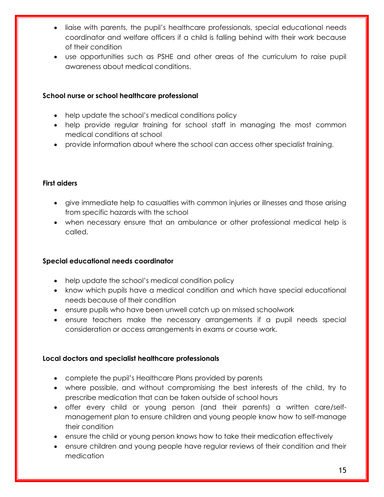- liaise with parents, the pupil's healthcare professionals, special educational needs coordinator and welfare officers if a child is falling behind with their work because of their condition
- use opportunities such as PSHE and other areas of the curriculum to raise pupil awareness about medical conditions.

#### **School nurse or school healthcare professional**

- help update the school's medical conditions policy
- help provide regular training for school staff in managing the most common medical conditions at school
- provide information about where the school can access other specialist training.

#### **First aiders**

- give immediate help to casualties with common injuries or illnesses and those arising from specific hazards with the school
- when necessary ensure that an ambulance or other professional medical help is called.

#### **Special educational needs coordinator**

- help update the school's medical condition policy
- know which pupils have a medical condition and which have special educational needs because of their condition
- ensure pupils who have been unwell catch up on missed schoolwork
- ensure teachers make the necessary arrangements if a pupil needs special consideration or access arrangements in exams or course work.

#### **Local doctors and specialist healthcare professionals**

- complete the pupil's Healthcare Plans provided by parents
- where possible, and without compromising the best interests of the child, try to prescribe medication that can be taken outside of school hours
- offer every child or young person (and their parents) a written care/selfmanagement plan to ensure children and young people know how to self-manage their condition
- ensure the child or young person knows how to take their medication effectively
- ensure children and young people have regular reviews of their condition and their medication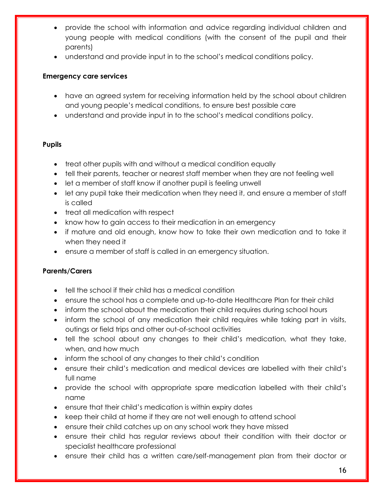- provide the school with information and advice regarding individual children and young people with medical conditions (with the consent of the pupil and their parents)
- understand and provide input in to the school's medical conditions policy.

#### **Emergency care services**

- have an agreed system for receiving information held by the school about children and young people's medical conditions, to ensure best possible care
- understand and provide input in to the school's medical conditions policy.

#### **Pupils**

- treat other pupils with and without a medical condition equally
- tell their parents, teacher or nearest staff member when they are not feeling well
- let a member of staff know if another pupil is feeling unwell
- let any pupil take their medication when they need it, and ensure a member of staff is called
- treat all medication with respect
- know how to gain access to their medication in an emergency
- if mature and old enough, know how to take their own medication and to take it when they need it
- ensure a member of staff is called in an emergency situation.

#### **Parents/Carers**

- tell the school if their child has a medical condition
- ensure the school has a complete and up-to-date Healthcare Plan for their child
- inform the school about the medication their child requires during school hours
- inform the school of any medication their child requires while taking part in visits, outings or field trips and other out-of-school activities
- tell the school about any changes to their child's medication, what they take, when, and how much
- inform the school of any changes to their child's condition
- ensure their child's medication and medical devices are labelled with their child's full name
- provide the school with appropriate spare medication labelled with their child's name
- ensure that their child's medication is within expiry dates
- keep their child at home if they are not well enough to attend school
- ensure their child catches up on any school work they have missed
- ensure their child has regular reviews about their condition with their doctor or specialist healthcare professional
- ensure their child has a written care/self-management plan from their doctor or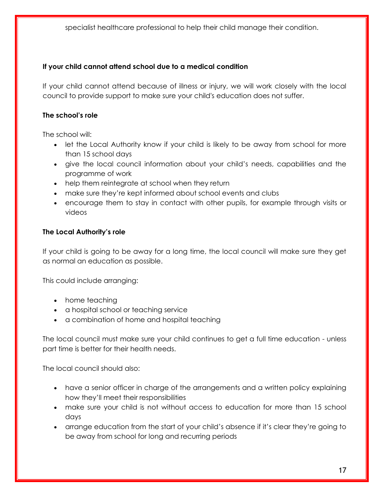specialist healthcare professional to help their child manage their condition.

#### **If your child cannot attend school due to a medical condition**

If your child cannot attend because of illness or injury, we will work closely with the local council to provide support to make sure your child's education does not suffer.

#### **The school's role**

The school will:

- let the Local Authority know if your child is likely to be away from school for more than 15 school days
- give the local council information about your child's needs, capabilities and the programme of work
- help them reintegrate at school when they return
- make sure they're kept informed about school events and clubs
- encourage them to stay in contact with other pupils, for example through visits or videos

#### **The Local Authority's role**

If your child is going to be away for a long time, the local council will make sure they get as normal an education as possible.

This could include arranging:

- home teaching
- a hospital school or teaching service
- a combination of home and hospital teaching

The local council must make sure your child continues to get a full time education - unless part time is better for their health needs.

The local council should also:

- have a senior officer in charge of the arrangements and a written policy explaining how they'll meet their responsibilities
- make sure your child is not without access to education for more than 15 school days
- arrange education from the start of your child's absence if it's clear they're going to be away from school for long and recurring periods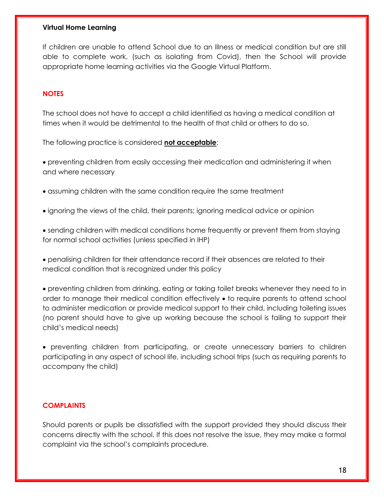#### **Virtual Home Learning**

If children are unable to attend School due to an Illness or medical condition but are still able to complete work, (such as isolating from Covid), then the School will provide appropriate home learning activities via the Google Virtual Platform.

#### **NOTES**

The school does not have to accept a child identified as having a medical condition at times when it would be detrimental to the health of that child or others to do so.

The following practice is considered **not acceptable**:

• preventing children from easily accessing their medication and administering it when and where necessary

- assuming children with the same condition require the same treatment
- ignoring the views of the child, their parents; ignoring medical advice or opinion
- sending children with medical conditions home frequently or prevent them from staying for normal school activities (unless specified in IHP)
- penalising children for their attendance record if their absences are related to their medical condition that is recognized under this policy
- preventing children from drinking, eating or taking toilet breaks whenever they need to in order to manage their medical condition effectively • to require parents to attend school to administer medication or provide medical support to their child, including toileting issues (no parent should have to give up working because the school is failing to support their child's medical needs)

• preventing children from participating, or create unnecessary barriers to children participating in any aspect of school life, including school trips (such as requiring parents to accompany the child)

#### **COMPLAINTS**

Should parents or pupils be dissatisfied with the support provided they should discuss their concerns directly with the school. If this does not resolve the issue, they may make a formal complaint via the school's complaints procedure.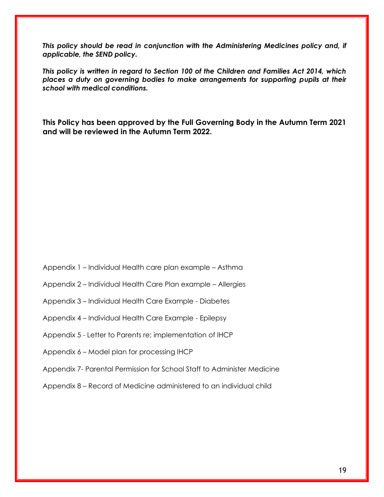*This policy should be read in conjunction with the Administering Medicines policy and, if applicable, the SEND policy.* 

*This policy is written in regard to Section 100 of the Children and Families Act 2014, which places a duty on governing bodies to make arrangements for supporting pupils at their school with medical conditions.*

**This Policy has been approved by the Full Governing Body in the Autumn Term 2021 and will be reviewed in the Autumn Term 2022.**

- Appendix 1 Individual Health care plan example Asthma
- Appendix 2 Individual Health Care Plan example Allergies
- Appendix 3 Individual Health Care Example Diabetes
- Appendix 4 Individual Health Care Example Epilepsy
- Appendix 5 Letter to Parents re; implementation of IHCP
- Appendix 6 Model plan for processing IHCP
- Appendix 7- Parental Permission for School Staff to Administer Medicine
- Appendix 8 Record of Medicine administered to an individual child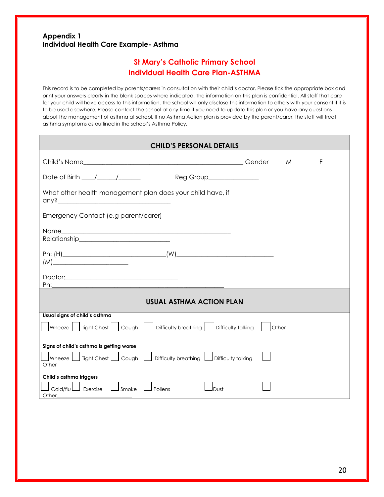#### **Appendix 1 Individual Health Care Example- Asthma**

### **St Mary's Catholic Primary School Individual Health Care Plan-ASTHMA**

This record is to be completed by parents/carers in consultation with their child's doctor. Please tick the appropriate box and print your answers clearly in the blank spaces where indicated. The information on this plan is confidential. All staff that care for your child will have access to this information. The school will only disclose this information to others with your consent if it is to be used elsewhere. Please contact the school at any time if you need to update this plan or you have any questions about the management of asthma at school. If no Asthma Action plan is provided by the parent/carer, the staff will treat asthma symptoms as outlined in the school's Asthma Policy.

| <b>CHILD'S PERSONAL DETAILS</b>                                                                                                                 |       |   |   |
|-------------------------------------------------------------------------------------------------------------------------------------------------|-------|---|---|
|                                                                                                                                                 |       | M | F |
| Date of Birth $\frac{1}{\sqrt{2}}$<br>Reg Group______________                                                                                   |       |   |   |
| What other health management plan does your child have, if                                                                                      |       |   |   |
| Emergency Contact (e.g parent/carer)                                                                                                            |       |   |   |
|                                                                                                                                                 |       |   |   |
|                                                                                                                                                 |       |   |   |
|                                                                                                                                                 |       |   |   |
| <b>USUAL ASTHMA ACTION PLAN</b>                                                                                                                 |       |   |   |
| Usual signs of child's asthma<br> Wheeze     Tight Chest     Cough     Difficulty breathing     Difficulty talking                              | Other |   |   |
| Signs of child's asthma is getting worse<br>$\Box$ Wheeze $\Box$ Tight Chest $\Box$ Cough $\Box$ Difficulty breathing $\Box$ Difficulty talking |       |   |   |
| Child's asthma triggers<br>Smoke<br>Cold/flu<br>LD<br>Exercise<br>Pollens<br>Dust<br>Other_                                                     |       |   |   |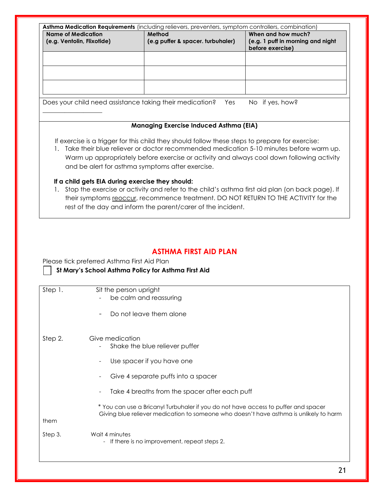| No if yes, how?<br>Does your child need assistance taking their medication?<br>Yes<br><b>Managing Exercise Induced Asthma (EIA)</b><br>If exercise is a trigger for this child they should follow these steps to prepare for exercise:<br>and be alert for asthma symptoms after exercise.<br>If a child gets EIA during exercise they should:<br>their symptoms reoccur, recommence treatment. DO NOT RETURN TO THE ACTIVITY for the<br>rest of the day and inform the parent/carer of the incident. | <b>Name of Medication</b> | (e.g. Ventolin, Flixotide) | Asthma Medication Requirements (including relievers, preventers, symptom controllers, combination)<br>Method<br>(e.g puffer & spacer. turbuhaler) | When and how much?<br>(e.g. 1 puff in morning and night<br>before exercise) |
|-------------------------------------------------------------------------------------------------------------------------------------------------------------------------------------------------------------------------------------------------------------------------------------------------------------------------------------------------------------------------------------------------------------------------------------------------------------------------------------------------------|---------------------------|----------------------------|---------------------------------------------------------------------------------------------------------------------------------------------------|-----------------------------------------------------------------------------|
| Take their blue reliever or doctor recommended medication 5-10 minutes before warm up.<br>Warm up appropriately before exercise or activity and always cool down following activity<br>1. Stop the exercise or activity and refer to the child's asthma first aid plan (on back page). If                                                                                                                                                                                                             |                           |                            |                                                                                                                                                   |                                                                             |
|                                                                                                                                                                                                                                                                                                                                                                                                                                                                                                       |                           |                            |                                                                                                                                                   |                                                                             |
|                                                                                                                                                                                                                                                                                                                                                                                                                                                                                                       |                           |                            |                                                                                                                                                   |                                                                             |
|                                                                                                                                                                                                                                                                                                                                                                                                                                                                                                       |                           |                            |                                                                                                                                                   |                                                                             |
|                                                                                                                                                                                                                                                                                                                                                                                                                                                                                                       |                           |                            |                                                                                                                                                   |                                                                             |
|                                                                                                                                                                                                                                                                                                                                                                                                                                                                                                       |                           |                            |                                                                                                                                                   |                                                                             |
|                                                                                                                                                                                                                                                                                                                                                                                                                                                                                                       |                           |                            |                                                                                                                                                   |                                                                             |
| <b>ASTHMA FIRST AID PLAN</b><br>Please tick preferred Asthma First Aid Plan<br>St Mary's School Asthma Policy for Asthma First Aid<br>Sit the person upright<br>be calm and reassuring                                                                                                                                                                                                                                                                                                                |                           |                            |                                                                                                                                                   |                                                                             |
| Do not leave them alone                                                                                                                                                                                                                                                                                                                                                                                                                                                                               | Step 1.                   |                            |                                                                                                                                                   |                                                                             |
| Give medication<br>Shake the blue reliever puffer                                                                                                                                                                                                                                                                                                                                                                                                                                                     |                           |                            |                                                                                                                                                   |                                                                             |
| Use spacer if you have one<br>$\overline{\phantom{a}}$                                                                                                                                                                                                                                                                                                                                                                                                                                                |                           |                            |                                                                                                                                                   |                                                                             |
| Give 4 separate puffs into a spacer                                                                                                                                                                                                                                                                                                                                                                                                                                                                   |                           |                            |                                                                                                                                                   |                                                                             |
| Take 4 breaths from the spacer after each puff                                                                                                                                                                                                                                                                                                                                                                                                                                                        | Step 2.                   |                            |                                                                                                                                                   |                                                                             |
| * You can use a Bricanyl Turbuhaler if you do not have access to puffer and spacer<br>Giving blue reliever medication to someone who doesn't have asthma is unlikely to harm                                                                                                                                                                                                                                                                                                                          | them                      |                            |                                                                                                                                                   |                                                                             |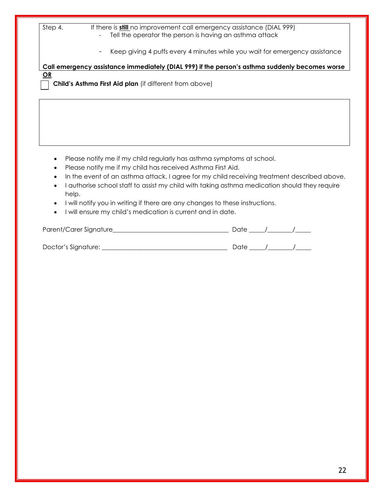| If there is still no improvement call emergency assistance (DIAL 999)<br>Step 4.<br>Tell the operator the person is having an asthma attack<br>Keep giving 4 puffs every 4 minutes while you wait for emergency assistance                                                                                                                                                                                                                                                                                |  |  |
|-----------------------------------------------------------------------------------------------------------------------------------------------------------------------------------------------------------------------------------------------------------------------------------------------------------------------------------------------------------------------------------------------------------------------------------------------------------------------------------------------------------|--|--|
| Call emergency assistance immediately (DIAL 999) if the person's asthma suddenly becomes worse                                                                                                                                                                                                                                                                                                                                                                                                            |  |  |
| OR<br>Child's Asthma First Aid plan (if different from above)                                                                                                                                                                                                                                                                                                                                                                                                                                             |  |  |
|                                                                                                                                                                                                                                                                                                                                                                                                                                                                                                           |  |  |
|                                                                                                                                                                                                                                                                                                                                                                                                                                                                                                           |  |  |
| Please notify me if my child regularly has asthma symptoms at school.<br>Please notify me if my child has received Asthma First Aid.<br>In the event of an asthma attack, I agree for my child receiving treatment described above.<br>$\bullet$<br>I authorise school staff to assist my child with taking asthma medication should they require<br>help.<br>I will notify you in writing if there are any changes to these instructions.<br>I will ensure my child's medication is current and in date. |  |  |
|                                                                                                                                                                                                                                                                                                                                                                                                                                                                                                           |  |  |
|                                                                                                                                                                                                                                                                                                                                                                                                                                                                                                           |  |  |
|                                                                                                                                                                                                                                                                                                                                                                                                                                                                                                           |  |  |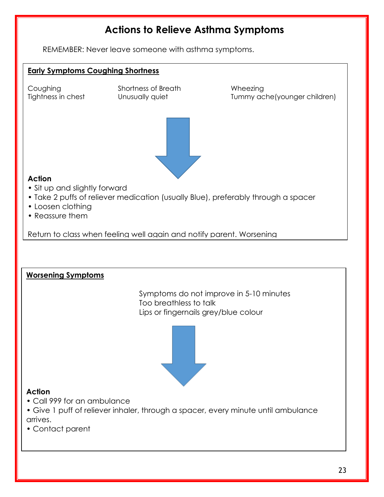## **Actions to Relieve Asthma Symptoms**

REMEMBER: Never leave someone with asthma symptoms.

#### **Early Symptoms Coughing Shortness**

Coughing Shortness of Breath Wheezing

Tightness in chest Unusually quiet Tummy ache(younger children)



#### **Action**

- Sit up and slightly forward
- Take 2 puffs of reliever medication (usually Blue), preferably through a spacer
- Loosen clothing
- Reassure them

Return to class when feeling well again and notify parent. Worsening

#### **Worsening Symptoms**

Symptoms do not improve in 5-10 minutes Too breathless to talk Lips or fingernails grey/blue colour



#### **Action**

- Call 999 for an ambulance
- Give 1 puff of reliever inhaler, through a spacer, every minute until ambulance arrives.
- Contact parent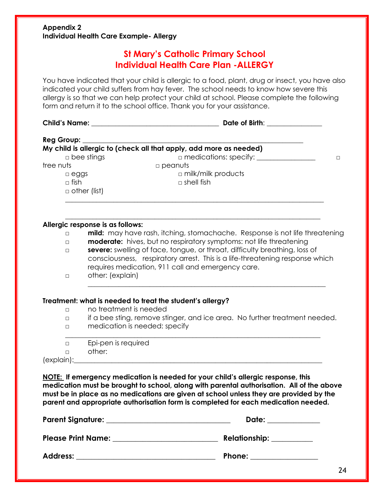#### **Appendix 2 Individual Health Care Example- Allergy**

## **St Mary's Catholic Primary School Individual Health Care Plan -ALLERGY**

You have indicated that your child is allergic to a food, plant, drug or insect, you have also indicated your child suffers from hay fever. The school needs to know how severe this allergy is so that we can help protect your child at school. Please complete the following form and return it to the school office. Thank you for your assistance.

| Reg Group:        |                                  | My child is allergic to (check all that apply, add more as needed)                                                                                                                                                                                                                                                                                            |
|-------------------|----------------------------------|---------------------------------------------------------------------------------------------------------------------------------------------------------------------------------------------------------------------------------------------------------------------------------------------------------------------------------------------------------------|
| $\Box$ bee stings |                                  | $\Box$ medications: specify: $\_\_\_\_\_\_\_\_\_\_\_\_\_\_\_\_\_\_\_\_\_$<br>$\Box$                                                                                                                                                                                                                                                                           |
| tree nuts         |                                  | $\square$ peanuts                                                                                                                                                                                                                                                                                                                                             |
|                   | $\Box$ eggs<br>$\Box$ fish       | $\Box$ milk/milk products<br>$\Box$ shell fish                                                                                                                                                                                                                                                                                                                |
|                   | $\Box$ other (list)              |                                                                                                                                                                                                                                                                                                                                                               |
|                   | Allergic response is as follows: |                                                                                                                                                                                                                                                                                                                                                               |
| $\Box$            |                                  | mild: may have rash, itching, stomachache. Response is not life threatening                                                                                                                                                                                                                                                                                   |
| $\Box$            |                                  | moderate: hives, but no respiratory symptoms: not life threatening<br>severe: swelling of face, tongue, or throat, difficulty breathing, loss of                                                                                                                                                                                                              |
| $\Box$            |                                  | consciousness, respiratory arrest. This is a life-threatening response which                                                                                                                                                                                                                                                                                  |
|                   |                                  | requires medication, 911 call and emergency care.                                                                                                                                                                                                                                                                                                             |
| $\Box$            | other: (explain)                 |                                                                                                                                                                                                                                                                                                                                                               |
|                   |                                  |                                                                                                                                                                                                                                                                                                                                                               |
|                   |                                  | Treatment: what is needed to treat the student's allergy?                                                                                                                                                                                                                                                                                                     |
| $\Box$            | no treatment is needed           |                                                                                                                                                                                                                                                                                                                                                               |
| $\Box$            |                                  | if a bee sting, remove stinger, and ice area. No further treatment needed.                                                                                                                                                                                                                                                                                    |
| $\Box$            |                                  | medication is needed: specify                                                                                                                                                                                                                                                                                                                                 |
| $\Box$            | Epi-pen is required              |                                                                                                                                                                                                                                                                                                                                                               |
| $\Box$            | other:                           |                                                                                                                                                                                                                                                                                                                                                               |
|                   |                                  |                                                                                                                                                                                                                                                                                                                                                               |
|                   |                                  |                                                                                                                                                                                                                                                                                                                                                               |
|                   |                                  | NOTE: If emergency medication is needed for your child's allergic response, this<br>medication must be brought to school, along with parental authorisation. All of the above<br>must be in place as no medications are given at school unless they are provided by the<br>parent and appropriate authorisation form is completed for each medication needed. |
|                   |                                  | Date: the contract of the contract of the contract of the contract of the contract of the contract of the contract of the contract of the contract of the contract of the contract of the contract of the contract of the cont                                                                                                                                |
|                   | <b>Please Print Name:</b>        | <b>Relationship:</b>                                                                                                                                                                                                                                                                                                                                          |

| <b>Address:</b> | Phone: |
|-----------------|--------|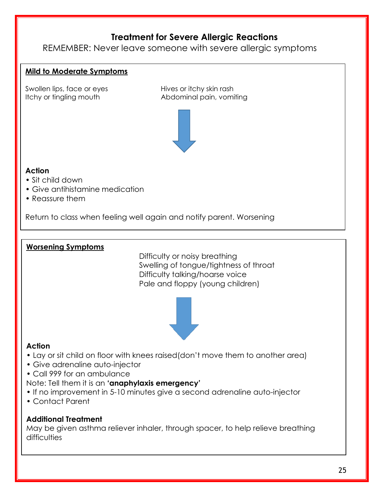## **Treatment for Severe Allergic Reactions**

REMEMBER: Never leave someone with severe allergic symptoms

#### **Mild to Moderate Symptoms**

Swollen lips, face or eyes Hives or itchy skin rash

Itchy or tingling mouth Abdominal pain, vomiting



#### **Action**

- Sit child down
- Give antihistamine medication
- Reassure them

Return to class when feeling well again and notify parent. Worsening

#### **Worsening Symptoms**

Difficulty or noisy breathing Swelling of tongue/tightness of throat Difficulty talking/hoarse voice Pale and floppy (young children)



#### **Action**

- Lay or sit child on floor with knees raised(don't move them to another area)
- Give adrenaline auto-injector
- Call 999 for an ambulance
- Note: Tell them it is an **'anaphylaxis emergency'**
- If no improvement in 5-10 minutes give a second adrenaline auto-injector
- Contact Parent

#### **Additional Treatment**

May be given asthma reliever inhaler, through spacer, to help relieve breathing difficulties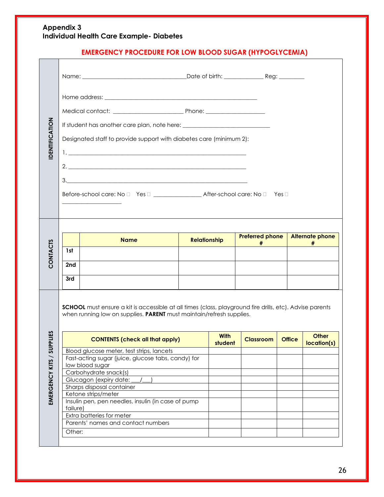#### **Appendix 3 Individual Health Care Example- Diabetes**

## **EMERGENCY PROCEDURE FOR LOW BLOOD SUGAR (HYPOGLYCEMIA)**

| <b>IDENTIFICATION</b>      |                    | Designated staff to provide support with diabetes care (minimum 2):                                                                                                                                                                                                                                                                                                                                                                                                                                                                                                                     |                     |                        |                                                  |               |                             |
|----------------------------|--------------------|-----------------------------------------------------------------------------------------------------------------------------------------------------------------------------------------------------------------------------------------------------------------------------------------------------------------------------------------------------------------------------------------------------------------------------------------------------------------------------------------------------------------------------------------------------------------------------------------|---------------------|------------------------|--------------------------------------------------|---------------|-----------------------------|
| CONTACTS                   | 1st<br>2nd<br>3rd  | <b>Name</b>                                                                                                                                                                                                                                                                                                                                                                                                                                                                                                                                                                             | <b>Relationship</b> |                        | <b>Preferred phone</b><br>$#$ $\qquad \qquad \_$ |               | <b>Alternate phone</b><br># |
| Ξ<br>EMERGENCY KITS / SUPP | failure)<br>Other: | <b>SCHOOL</b> must ensure a kit is accessible at all times (class, playground fire drills, etc). Advise parents<br>when running low on supplies. PARENT must maintain/refresh supplies.<br><b>CONTENTS (check all that apply)</b><br>Blood glucose meter, test strips, lancets<br>Fast-acting sugar (juice, glucose tabs, candy) for<br>low blood sugar<br>Carbohydrate snack(s)<br>Glucagon (expiry date:<br>Sharps disposal container<br>Ketone strips/meter<br>Insulin pen, pen needles, insulin (in case of pump<br>Extra batteries for meter<br>Parents' names and contact numbers |                     | <b>With</b><br>student | Classroom                                        | <b>Office</b> | Other<br>location(s)        |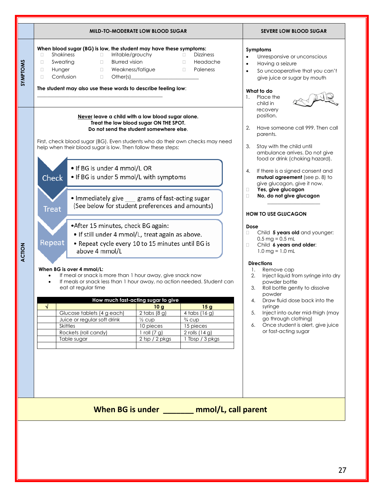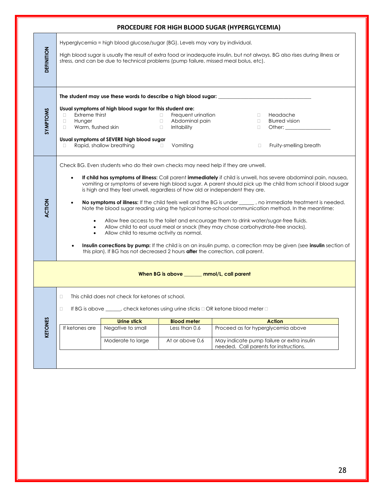|                                                                                                                                                               |                                                                                                                                                                                                                                                                                                                                                                                                                                                                                                                                                                                                                                                                                                                                                                                                                                                                                                                                                                                                                                                                                                                                 |                                                                                                                                                               |                                                                                                         | PROCEDURE FOR HIGH BLOOD SUGAR (HYPERGLYCEMIA)                               |                                                                                       |  |
|---------------------------------------------------------------------------------------------------------------------------------------------------------------|---------------------------------------------------------------------------------------------------------------------------------------------------------------------------------------------------------------------------------------------------------------------------------------------------------------------------------------------------------------------------------------------------------------------------------------------------------------------------------------------------------------------------------------------------------------------------------------------------------------------------------------------------------------------------------------------------------------------------------------------------------------------------------------------------------------------------------------------------------------------------------------------------------------------------------------------------------------------------------------------------------------------------------------------------------------------------------------------------------------------------------|---------------------------------------------------------------------------------------------------------------------------------------------------------------|---------------------------------------------------------------------------------------------------------|------------------------------------------------------------------------------|---------------------------------------------------------------------------------------|--|
| DEFINITION                                                                                                                                                    | Hyperglycemia = high blood glucose/sugar (BG). Levels may vary by individual.<br>High blood sugar is usually the result of extra food or inadequate insulin, but not always. BG also rises during illness or<br>stress, and can be due to technical problems (pump failure, missed meal bolus, etc).                                                                                                                                                                                                                                                                                                                                                                                                                                                                                                                                                                                                                                                                                                                                                                                                                            |                                                                                                                                                               |                                                                                                         |                                                                              |                                                                                       |  |
|                                                                                                                                                               | The student may use these words to describe a high blood sugar: _________________                                                                                                                                                                                                                                                                                                                                                                                                                                                                                                                                                                                                                                                                                                                                                                                                                                                                                                                                                                                                                                               |                                                                                                                                                               |                                                                                                         |                                                                              |                                                                                       |  |
| <b>SYMPTOMS</b>                                                                                                                                               | Extreme thirst<br>$\Box$<br>Hunger<br>$\Box$<br>Warm, flushed skin<br>П.<br>$\Box$                                                                                                                                                                                                                                                                                                                                                                                                                                                                                                                                                                                                                                                                                                                                                                                                                                                                                                                                                                                                                                              | Usual symptoms of high blood sugar for this student are:<br>Usual symptoms of SEVERE high blood sugar<br>Rapid, shallow breathing<br><b>Contract Contract</b> | Frequent urination<br>$\Box$<br>$\Box$ .<br>Abdominal pain<br>$\Box$<br><b>Irritability</b><br>Vomiting | $\Box$<br>$\Box$<br>$\Box$<br>$\Box$                                         | Headache<br><b>Blurred vision</b><br>Other: $\qquad \qquad$<br>Fruity-smelling breath |  |
| ACTION                                                                                                                                                        | Check BG. Even students who do their own checks may need help if they are unwell.<br>If child has symptoms of illness: Call parent immediately if child is unwell, has severe abdominal pain, nausea,<br>$\bullet$<br>vomiting or symptoms of severe high blood sugar. A parent should pick up the child from school if blood sugar<br>is high and they feel unwell, regardless of how old or independent they are.<br>No symptoms of illness: If the child feels well and the BG is under ______, no immediate treatment is needed.<br>$\bullet$<br>Note the blood sugar reading using the typical home-school communication method. In the meantime:<br>Allow free access to the toilet and encourage them to drink water/sugar-free fluids.<br>$\bullet$<br>Allow child to eat usual meal or snack (they may chose carbohydrate-free snacks).<br>$\bullet$<br>Allow child to resume activity as normal.<br>$\bullet$<br>Insulin corrections by pump: If the child is on an insulin pump, a correction may be given (see insulin section of<br>this plan). If BG has not decreased 2 hours after the correction, call parent. |                                                                                                                                                               |                                                                                                         |                                                                              |                                                                                       |  |
|                                                                                                                                                               | When BG is above ______ mmol/L, call parent                                                                                                                                                                                                                                                                                                                                                                                                                                                                                                                                                                                                                                                                                                                                                                                                                                                                                                                                                                                                                                                                                     |                                                                                                                                                               |                                                                                                         |                                                                              |                                                                                       |  |
| 0<br>This child does not check for ketones at school.<br>If BG is above _____, check ketones using urine sticks $\Box$ OR ketone blood meter $\Box$<br>$\Box$ |                                                                                                                                                                                                                                                                                                                                                                                                                                                                                                                                                                                                                                                                                                                                                                                                                                                                                                                                                                                                                                                                                                                                 |                                                                                                                                                               |                                                                                                         |                                                                              |                                                                                       |  |
|                                                                                                                                                               |                                                                                                                                                                                                                                                                                                                                                                                                                                                                                                                                                                                                                                                                                                                                                                                                                                                                                                                                                                                                                                                                                                                                 | <b>Urine stick</b>                                                                                                                                            | <b>Blood meter</b>                                                                                      |                                                                              | <b>Action</b>                                                                         |  |
| <b>KETONES</b>                                                                                                                                                | If ketones are                                                                                                                                                                                                                                                                                                                                                                                                                                                                                                                                                                                                                                                                                                                                                                                                                                                                                                                                                                                                                                                                                                                  | Negative to small<br>Moderate to large                                                                                                                        | Less than 0.6<br>At or above 0.6                                                                        | Proceed as for hyperglycemia above<br>needed. Call parents for instructions. | May indicate pump failure or extra insulin                                            |  |
|                                                                                                                                                               |                                                                                                                                                                                                                                                                                                                                                                                                                                                                                                                                                                                                                                                                                                                                                                                                                                                                                                                                                                                                                                                                                                                                 |                                                                                                                                                               |                                                                                                         |                                                                              |                                                                                       |  |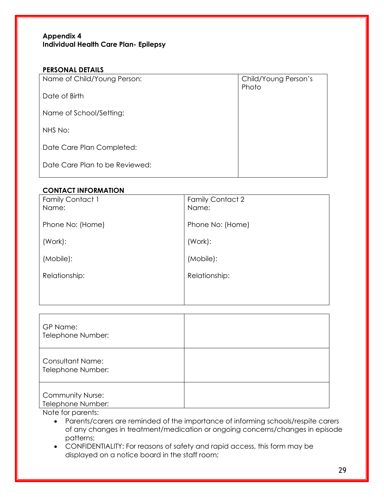#### **Appendix 4 Individual Health Care Plan- Epilepsy**

#### **PERSONAL DETAILS**

| Name of Child/Young Person:    | Child/Young Person's<br>Photo |
|--------------------------------|-------------------------------|
| Date of Birth                  |                               |
| Name of School/Setting:        |                               |
| NHS No:                        |                               |
| Date Care Plan Completed:      |                               |
| Date Care Plan to be Reviewed: |                               |
|                                |                               |

#### **CONTACT INFORMATION**

| <b>Family Contact 2</b><br>Name: |
|----------------------------------|
| Phone No: (Home)                 |
| (Work):                          |
| (Mobile):                        |
| Relationship:                    |
|                                  |
|                                  |

| GP Name:<br>Telephone Number:                |  |
|----------------------------------------------|--|
| <b>Consultant Name:</b><br>Telephone Number: |  |
| <b>Community Nurse:</b><br>Telephone Number: |  |

Note for parents:

- Parents/carers are reminded of the importance of informing schools/respite carers of any changes in treatment/medication or ongoing concerns/changes in episode patterns;
- CONFIDENTIALITY: For reasons of safety and rapid access, this form may be displayed on a notice board in the staff room;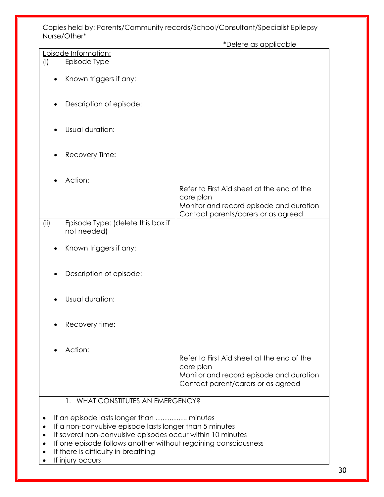Copies held by: Parents/Community records/School/Consultant/Specialist Epilepsy Nurse/Other\*

|                                                                             | *Delete as applicable                      |
|-----------------------------------------------------------------------------|--------------------------------------------|
| Episode Information:                                                        |                                            |
| Episode Type<br>(i)                                                         |                                            |
|                                                                             |                                            |
|                                                                             |                                            |
| Known triggers if any:                                                      |                                            |
|                                                                             |                                            |
|                                                                             |                                            |
|                                                                             |                                            |
| Description of episode:<br>٠                                                |                                            |
|                                                                             |                                            |
|                                                                             |                                            |
|                                                                             |                                            |
| Usual duration:                                                             |                                            |
|                                                                             |                                            |
|                                                                             |                                            |
|                                                                             |                                            |
| Recovery Time:                                                              |                                            |
|                                                                             |                                            |
|                                                                             |                                            |
| Action:                                                                     |                                            |
|                                                                             |                                            |
|                                                                             | Refer to First Aid sheet at the end of the |
|                                                                             | care plan                                  |
|                                                                             | Monitor and record episode and duration    |
|                                                                             |                                            |
|                                                                             | Contact parents/carers or as agreed        |
| (ii)<br>Episode Type: (delete this box if                                   |                                            |
| not needed)                                                                 |                                            |
|                                                                             |                                            |
|                                                                             |                                            |
| Known triggers if any:                                                      |                                            |
|                                                                             |                                            |
|                                                                             |                                            |
|                                                                             |                                            |
| Description of episode:                                                     |                                            |
|                                                                             |                                            |
|                                                                             |                                            |
| Usual duration:                                                             |                                            |
|                                                                             |                                            |
|                                                                             |                                            |
|                                                                             |                                            |
| Recovery time:                                                              |                                            |
|                                                                             |                                            |
|                                                                             |                                            |
|                                                                             |                                            |
| Action:                                                                     |                                            |
|                                                                             | Refer to First Aid sheet at the end of the |
|                                                                             | care plan                                  |
|                                                                             |                                            |
|                                                                             | Monitor and record episode and duration    |
|                                                                             | Contact parent/carers or as agreed         |
|                                                                             |                                            |
| WHAT CONSTITUTES AN EMERGENCY?<br>1.                                        |                                            |
|                                                                             |                                            |
|                                                                             |                                            |
| If an episode lasts longer than  minutes                                    |                                            |
| If a non-convulsive episode lasts longer than 5 minutes                     |                                            |
|                                                                             |                                            |
| If several non-convulsive episodes occur within 10 minutes<br>$\bullet$     |                                            |
| If one episode follows another without regaining consciousness<br>$\bullet$ |                                            |
| If there is difficulty in breathing<br>٠                                    |                                            |
| If injury occurs                                                            |                                            |
|                                                                             |                                            |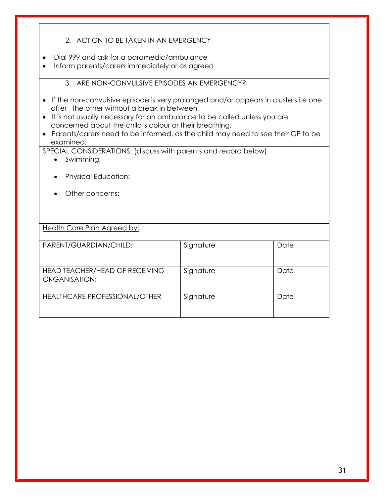#### 2. ACTION TO BE TAKEN IN AN EMERGENCY

- Dial 999 and ask for a paramedic/ambulance
- Inform parents/carers immediately or as agreed

3. ARE NON-CONVULSIVE EPISODES AN EMERGENCY?

- If the non-convulsive episode is very prolonged and/or appears in clusters i.e one after the other without a break in between
- It is not usually necessary for an ambulance to be called unless you are concerned about the child's colour or their breathing.
- Parents/carers need to be informed, as the child may need to see their GP to be examined.

SPECIAL CONSIDERATIONS: (discuss with parents and record below)

- Swimming:
- Physical Education:
- Other concerns:

Health Care Plan Agreed by:

| PARENT/GUARDIAN/CHILD:                          | Signature | Date |
|-------------------------------------------------|-----------|------|
| HEAD TEACHER/HEAD OF RECEIVING<br>ORGANISATION: | Signature | Date |
| <b>HEALTHCARE PROFESSIONAL/OTHER</b>            | Signature | Date |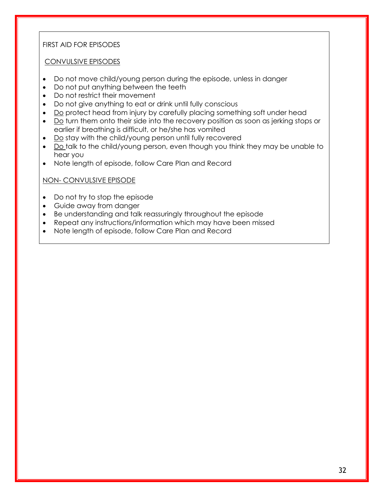#### FIRST AID FOR EPISODES

#### CONVULSIVE EPISODES

- Do not move child/young person during the episode, unless in danger
- Do not put anything between the teeth
- Do not restrict their movement
- Do not give anything to eat or drink until fully conscious
- Do protect head from injury by carefully placing something soft under head
- Do turn them onto their side into the recovery position as soon as jerking stops or earlier if breathing is difficult, or he/she has vomited
- Do stay with the child/young person until fully recovered
- Do talk to the child/young person, even though you think they may be unable to hear you
- Note length of episode, follow Care Plan and Record

#### NON- CONVULSIVE EPISODE

- Do not try to stop the episode
- Guide away from danger
- Be understanding and talk reassuringly throughout the episode
- Repeat any instructions/information which may have been missed
- Note length of episode, follow Care Plan and Record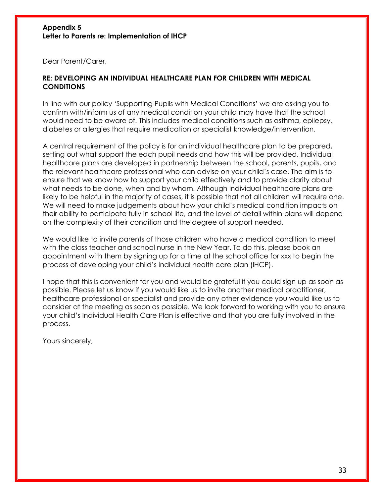#### **Appendix 5 Letter to Parents re: Implementation of IHCP**

Dear Parent/Carer,

#### **RE: DEVELOPING AN INDIVIDUAL HEALTHCARE PLAN FOR CHILDREN WITH MEDICAL CONDITIONS**

In line with our policy 'Supporting Pupils with Medical Conditions' we are asking you to confirm with/inform us of any medical condition your child may have that the school would need to be aware of. This includes medical conditions such as asthma, epilepsy, diabetes or allergies that require medication or specialist knowledge/intervention.

A central requirement of the policy is for an individual healthcare plan to be prepared, setting out what support the each pupil needs and how this will be provided. Individual healthcare plans are developed in partnership between the school, parents, pupils, and the relevant healthcare professional who can advise on your child's case. The aim is to ensure that we know how to support your child effectively and to provide clarity about what needs to be done, when and by whom. Although individual healthcare plans are likely to be helpful in the majority of cases, it is possible that not all children will require one. We will need to make judgements about how your child's medical condition impacts on their ability to participate fully in school life, and the level of detail within plans will depend on the complexity of their condition and the degree of support needed.

We would like to invite parents of those children who have a medical condition to meet with the class teacher and school nurse in the New Year. To do this, please book an appointment with them by signing up for a time at the school office for xxx to begin the process of developing your child's individual health care plan (IHCP).

I hope that this is convenient for you and would be grateful if you could sign up as soon as possible. Please let us know if you would like us to invite another medical practitioner, healthcare professional or specialist and provide any other evidence you would like us to consider at the meeting as soon as possible. We look forward to working with you to ensure your child's Individual Health Care Plan is effective and that you are fully involved in the process.

Yours sincerely,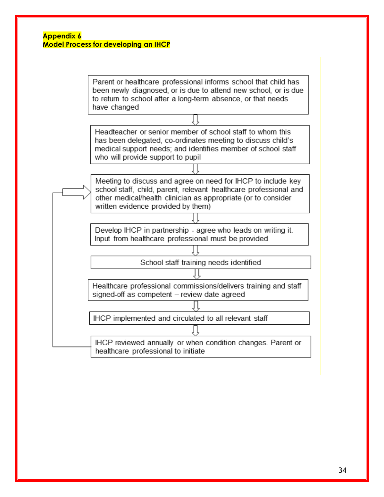#### **Appendix 6 Model Process for developing an IHCP**

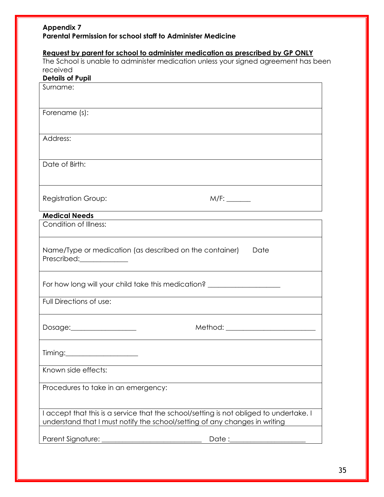#### **Appendix 7 Parental Permission for school staff to Administer Medicine**

#### **Request by parent for school to administer medication as prescribed by GP ONLY**

The School is unable to administer medication unless your signed agreement has been received

| <b>Details of Pupil</b>                                                                |                                                                                  |  |  |
|----------------------------------------------------------------------------------------|----------------------------------------------------------------------------------|--|--|
| Surname:                                                                               |                                                                                  |  |  |
|                                                                                        |                                                                                  |  |  |
| Forename (s):                                                                          |                                                                                  |  |  |
|                                                                                        |                                                                                  |  |  |
| Address:                                                                               |                                                                                  |  |  |
|                                                                                        |                                                                                  |  |  |
| Date of Birth:                                                                         |                                                                                  |  |  |
|                                                                                        |                                                                                  |  |  |
|                                                                                        |                                                                                  |  |  |
|                                                                                        |                                                                                  |  |  |
| <b>Registration Group:</b>                                                             |                                                                                  |  |  |
| <b>Medical Needs</b>                                                                   |                                                                                  |  |  |
| Condition of Illness:                                                                  |                                                                                  |  |  |
|                                                                                        |                                                                                  |  |  |
| Name/Type or medication (as described on the container)                                | Date                                                                             |  |  |
| Prescribed:_____________                                                               |                                                                                  |  |  |
|                                                                                        |                                                                                  |  |  |
|                                                                                        | For how long will your child take this medication? _____________________________ |  |  |
|                                                                                        |                                                                                  |  |  |
| Full Directions of use:                                                                |                                                                                  |  |  |
|                                                                                        |                                                                                  |  |  |
| Dosage:____________________                                                            | Method: ____________________________                                             |  |  |
|                                                                                        |                                                                                  |  |  |
|                                                                                        |                                                                                  |  |  |
| Timing:                                                                                |                                                                                  |  |  |
| Known side effects:                                                                    |                                                                                  |  |  |
|                                                                                        |                                                                                  |  |  |
| Procedures to take in an emergency:                                                    |                                                                                  |  |  |
|                                                                                        |                                                                                  |  |  |
| I accept that this is a service that the school/setting is not obliged to undertake. I |                                                                                  |  |  |
| understand that I must notify the school/setting of any changes in writing             |                                                                                  |  |  |
|                                                                                        |                                                                                  |  |  |
|                                                                                        |                                                                                  |  |  |